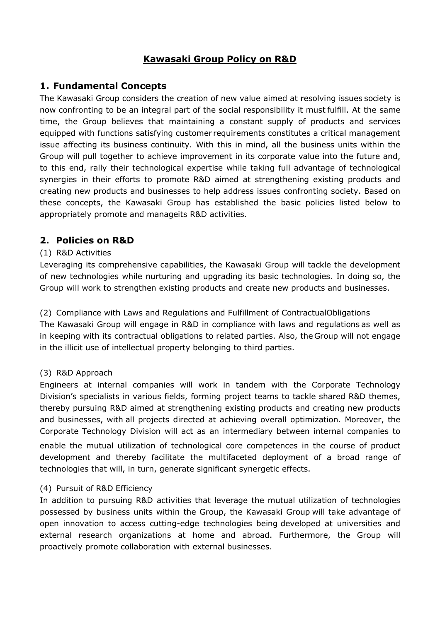# **Kawasaki Group Policy on R&D**

# **1. Fundamental Concepts**

The Kawasaki Group considers the creation of new value aimed at resolving issues society is now confronting to be an integral part of the social responsibility it must fulfill. At the same time, the Group believes that maintaining a constant supply of products and services equipped with functions satisfying customer requirements constitutes a critical management issue affecting its business continuity. With this in mind, all the business units within the Group will pull together to achieve improvement in its corporate value into the future and, to this end, rally their technological expertise while taking full advantage of technological synergies in their efforts to promote R&D aimed at strengthening existing products and creating new products and businesses to help address issues confronting society. Based on these concepts, the Kawasaki Group has established the basic policies listed below to appropriately promote and manageits R&D activities.

# **2. Policies on R&D**

## (1) R&D Activities

Leveraging its comprehensive capabilities, the Kawasaki Group will tackle the development of new technologies while nurturing and upgrading its basic technologies. In doing so, the Group will work to strengthen existing products and create new products and businesses.

(2) Compliance with Laws and Regulations and Fulfillment of ContractualObligations The Kawasaki Group will engage in R&D in compliance with laws and regulations as well as in keeping with its contractual obligations to related parties. Also, the Group will not engage in the illicit use of intellectual property belonging to third parties.

## (3) R&D Approach

Engineers at internal companies will work in tandem with the Corporate Technology Division's specialists in various fields, forming project teams to tackle shared R&D themes, thereby pursuing R&D aimed at strengthening existing products and creating new products and businesses, with all projects directed at achieving overall optimization. Moreover, the Corporate Technology Division will act as an intermediary between internal companies to enable the mutual utilization of technological core competences in the course of product development and thereby facilitate the multifaceted deployment of a broad range of technologies that will, in turn, generate significant synergetic effects.

## (4) Pursuit of R&D Efficiency

In addition to pursuing R&D activities that leverage the mutual utilization of technologies possessed by business units within the Group, the Kawasaki Group will take advantage of open innovation to access cutting-edge technologies being developed at universities and external research organizations at home and abroad. Furthermore, the Group will proactively promote collaboration with external businesses.